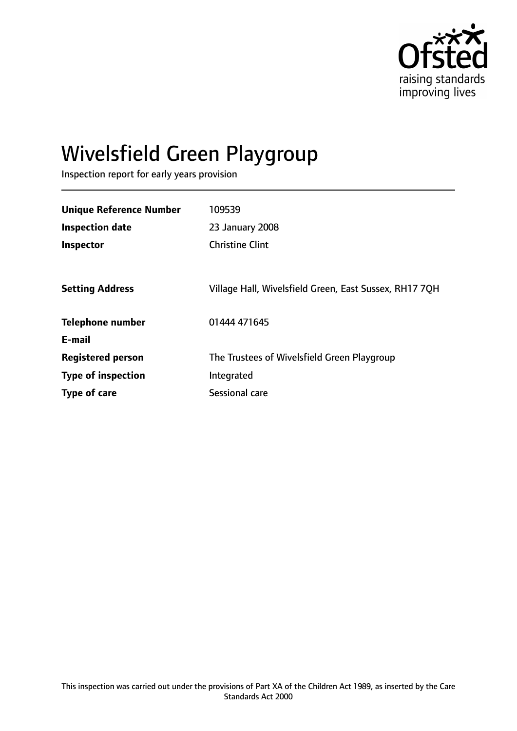

# Wivelsfield Green Playgroup

Inspection report for early years provision

| <b>Unique Reference Number</b> | 109539                                                 |
|--------------------------------|--------------------------------------------------------|
| Inspection date                | 23 January 2008                                        |
| Inspector                      | <b>Christine Clint</b>                                 |
|                                |                                                        |
| <b>Setting Address</b>         | Village Hall, Wivelsfield Green, East Sussex, RH17 7QH |
| <b>Telephone number</b>        | 01444 471645                                           |
| E-mail                         |                                                        |
| <b>Registered person</b>       | The Trustees of Wivelsfield Green Playgroup            |
| <b>Type of inspection</b>      | Integrated                                             |
| Type of care                   | Sessional care                                         |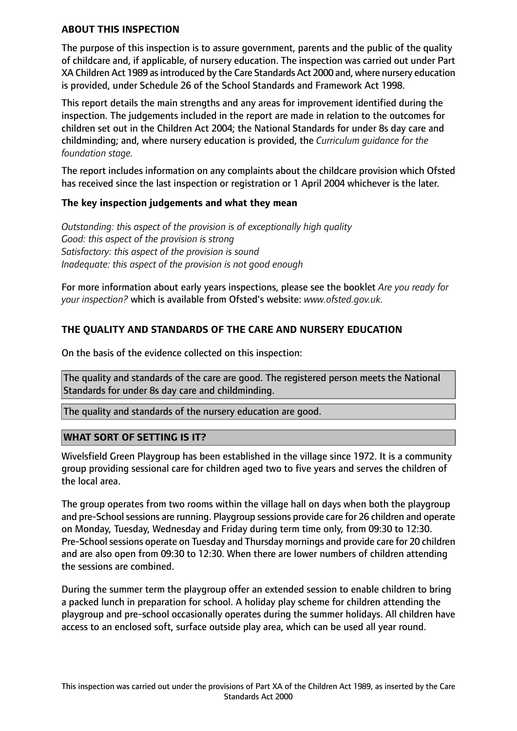## **ABOUT THIS INSPECTION**

The purpose of this inspection is to assure government, parents and the public of the quality of childcare and, if applicable, of nursery education. The inspection was carried out under Part XA Children Act 1989 as introduced by the Care Standards Act 2000 and, where nursery education is provided, under Schedule 26 of the School Standards and Framework Act 1998.

This report details the main strengths and any areas for improvement identified during the inspection. The judgements included in the report are made in relation to the outcomes for children set out in the Children Act 2004; the National Standards for under 8s day care and childminding; and, where nursery education is provided, the *Curriculum guidance for the foundation stage.*

The report includes information on any complaints about the childcare provision which Ofsted has received since the last inspection or registration or 1 April 2004 whichever is the later.

## **The key inspection judgements and what they mean**

*Outstanding: this aspect of the provision is of exceptionally high quality Good: this aspect of the provision is strong Satisfactory: this aspect of the provision is sound Inadequate: this aspect of the provision is not good enough*

For more information about early years inspections, please see the booklet *Are you ready for your inspection?* which is available from Ofsted's website: *www.ofsted.gov.uk.*

# **THE QUALITY AND STANDARDS OF THE CARE AND NURSERY EDUCATION**

On the basis of the evidence collected on this inspection:

The quality and standards of the care are good. The registered person meets the National Standards for under 8s day care and childminding.

The quality and standards of the nursery education are good.

#### **WHAT SORT OF SETTING IS IT?**

Wivelsfield Green Playgroup has been established in the village since 1972. It is a community group providing sessional care for children aged two to five years and serves the children of the local area.

The group operates from two rooms within the village hall on days when both the playgroup and pre-School sessions are running. Playgroup sessions provide care for 26 children and operate on Monday, Tuesday, Wednesday and Friday during term time only, from 09:30 to 12:30. Pre-School sessions operate on Tuesday and Thursday mornings and provide care for 20 children and are also open from 09:30 to 12:30. When there are lower numbers of children attending the sessions are combined.

During the summer term the playgroup offer an extended session to enable children to bring a packed lunch in preparation for school. A holiday play scheme for children attending the playgroup and pre-school occasionally operates during the summer holidays. All children have access to an enclosed soft, surface outside play area, which can be used all year round.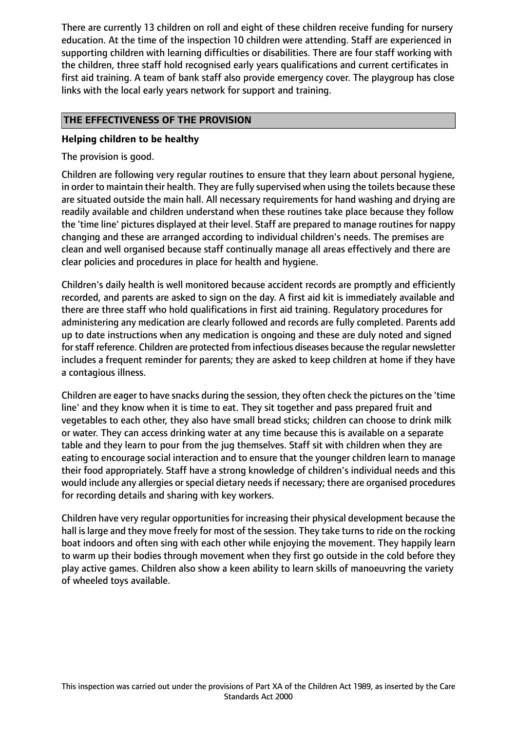There are currently 13 children on roll and eight of these children receive funding for nursery education. At the time of the inspection 10 children were attending. Staff are experienced in supporting children with learning difficulties or disabilities. There are four staff working with the children, three staff hold recognised early years qualifications and current certificates in first aid training. A team of bank staff also provide emergency cover. The playgroup has close links with the local early years network for support and training.

# **THE EFFECTIVENESS OF THE PROVISION**

## **Helping children to be healthy**

The provision is good.

Children are following very regular routines to ensure that they learn about personal hygiene, in order to maintain their health. They are fully supervised when using the toilets because these are situated outside the main hall. All necessary requirements for hand washing and drying are readily available and children understand when these routines take place because they follow the 'time line' pictures displayed at their level. Staff are prepared to manage routines for nappy changing and these are arranged according to individual children's needs. The premises are clean and well organised because staff continually manage all areas effectively and there are clear policies and procedures in place for health and hygiene.

Children's daily health is well monitored because accident records are promptly and efficiently recorded, and parents are asked to sign on the day. A first aid kit is immediately available and there are three staff who hold qualifications in first aid training. Regulatory procedures for administering any medication are clearly followed and records are fully completed. Parents add up to date instructions when any medication is ongoing and these are duly noted and signed for staff reference. Children are protected from infectious diseases because the regular newsletter includes a frequent reminder for parents; they are asked to keep children at home if they have a contagious illness.

Children are eager to have snacks during the session, they often check the pictures on the 'time line' and they know when it is time to eat. They sit together and pass prepared fruit and vegetables to each other, they also have small bread sticks; children can choose to drink milk or water. They can access drinking water at any time because this is available on a separate table and they learn to pour from the jug themselves. Staff sit with children when they are eating to encourage social interaction and to ensure that the younger children learn to manage their food appropriately. Staff have a strong knowledge of children's individual needs and this would include any allergies or special dietary needs if necessary; there are organised procedures for recording details and sharing with key workers.

Children have very regular opportunities for increasing their physical development because the hall is large and they move freely for most of the session. They take turns to ride on the rocking boat indoors and often sing with each other while enjoying the movement. They happily learn to warm up their bodies through movement when they first go outside in the cold before they play active games. Children also show a keen ability to learn skills of manoeuvring the variety of wheeled toys available.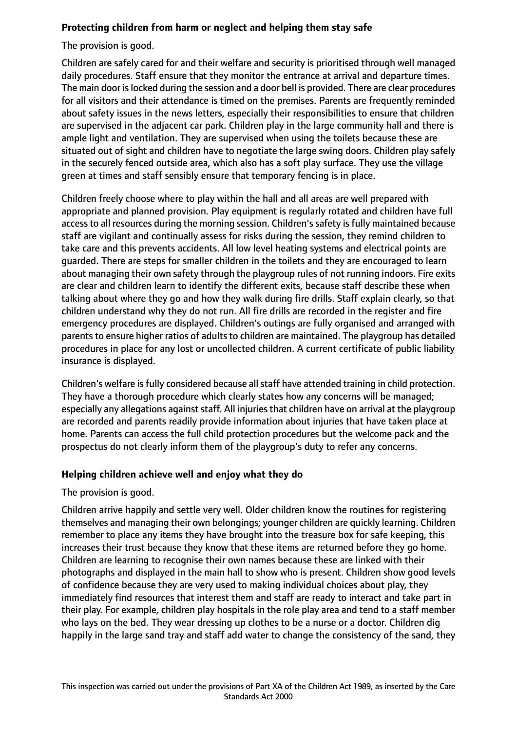# **Protecting children from harm or neglect and helping them stay safe**

The provision is good.

Children are safely cared for and their welfare and security is prioritised through well managed daily procedures. Staff ensure that they monitor the entrance at arrival and departure times. The main door is locked during the session and a door bell is provided. There are clear procedures for all visitors and their attendance is timed on the premises. Parents are frequently reminded about safety issues in the news letters, especially their responsibilities to ensure that children are supervised in the adjacent car park. Children play in the large community hall and there is ample light and ventilation. They are supervised when using the toilets because these are situated out of sight and children have to negotiate the large swing doors. Children play safely in the securely fenced outside area, which also has a soft play surface. They use the village green at times and staff sensibly ensure that temporary fencing is in place.

Children freely choose where to play within the hall and all areas are well prepared with appropriate and planned provision. Play equipment is regularly rotated and children have full access to all resources during the morning session. Children's safety is fully maintained because staff are vigilant and continually assess for risks during the session, they remind children to take care and this prevents accidents. All low level heating systems and electrical points are guarded. There are steps for smaller children in the toilets and they are encouraged to learn about managing their own safety through the playgroup rules of not running indoors. Fire exits are clear and children learn to identify the different exits, because staff describe these when talking about where they go and how they walk during fire drills. Staff explain clearly, so that children understand why they do not run. All fire drills are recorded in the register and fire emergency procedures are displayed. Children's outings are fully organised and arranged with parents to ensure higher ratios of adults to children are maintained. The playgroup has detailed procedures in place for any lost or uncollected children. A current certificate of public liability insurance is displayed.

Children's welfare is fully considered because all staff have attended training in child protection. They have a thorough procedure which clearly states how any concerns will be managed; especially any allegations against staff. All injuries that children have on arrival at the playgroup are recorded and parents readily provide information about injuries that have taken place at home. Parents can access the full child protection procedures but the welcome pack and the prospectus do not clearly inform them of the playgroup's duty to refer any concerns.

## **Helping children achieve well and enjoy what they do**

The provision is good.

Children arrive happily and settle very well. Older children know the routines for registering themselves and managing their own belongings; younger children are quickly learning. Children remember to place any items they have brought into the treasure box for safe keeping, this increases their trust because they know that these items are returned before they go home. Children are learning to recognise their own names because these are linked with their photographs and displayed in the main hall to show who is present. Children show good levels of confidence because they are very used to making individual choices about play, they immediately find resources that interest them and staff are ready to interact and take part in their play. For example, children play hospitals in the role play area and tend to a staff member who lays on the bed. They wear dressing up clothes to be a nurse or a doctor. Children dig happily in the large sand tray and staff add water to change the consistency of the sand, they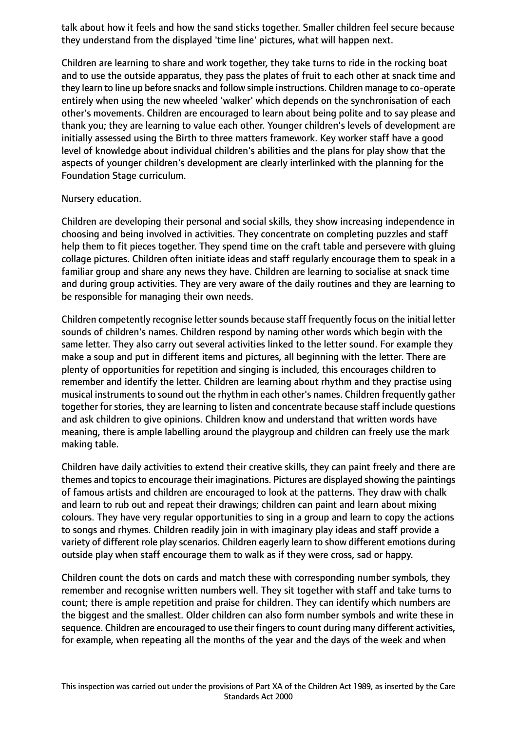talk about how it feels and how the sand sticks together. Smaller children feel secure because they understand from the displayed 'time line' pictures, what will happen next.

Children are learning to share and work together, they take turns to ride in the rocking boat and to use the outside apparatus, they pass the plates of fruit to each other at snack time and they learn to line up before snacks and follow simple instructions. Children manage to co-operate entirely when using the new wheeled 'walker' which depends on the synchronisation of each other's movements. Children are encouraged to learn about being polite and to say please and thank you; they are learning to value each other. Younger children's levels of development are initially assessed using the Birth to three matters framework. Key worker staff have a good level of knowledge about individual children's abilities and the plans for play show that the aspects of younger children's development are clearly interlinked with the planning for the Foundation Stage curriculum.

#### Nursery education.

Children are developing their personal and social skills, they show increasing independence in choosing and being involved in activities. They concentrate on completing puzzles and staff help them to fit pieces together. They spend time on the craft table and persevere with gluing collage pictures. Children often initiate ideas and staff regularly encourage them to speak in a familiar group and share any news they have. Children are learning to socialise at snack time and during group activities. They are very aware of the daily routines and they are learning to be responsible for managing their own needs.

Children competently recognise letter sounds because staff frequently focus on the initial letter sounds of children's names. Children respond by naming other words which begin with the same letter. They also carry out several activities linked to the letter sound. For example they make a soup and put in different items and pictures, all beginning with the letter. There are plenty of opportunities for repetition and singing is included, this encourages children to remember and identify the letter. Children are learning about rhythm and they practise using musical instruments to sound out the rhythm in each other's names. Children frequently gather together for stories, they are learning to listen and concentrate because staff include questions and ask children to give opinions. Children know and understand that written words have meaning, there is ample labelling around the playgroup and children can freely use the mark making table.

Children have daily activities to extend their creative skills, they can paint freely and there are themes and topics to encourage their imaginations. Pictures are displayed showing the paintings of famous artists and children are encouraged to look at the patterns. They draw with chalk and learn to rub out and repeat their drawings; children can paint and learn about mixing colours. They have very regular opportunities to sing in a group and learn to copy the actions to songs and rhymes. Children readily join in with imaginary play ideas and staff provide a variety of different role play scenarios. Children eagerly learn to show different emotions during outside play when staff encourage them to walk as if they were cross, sad or happy.

Children count the dots on cards and match these with corresponding number symbols, they remember and recognise written numbers well. They sit together with staff and take turns to count; there is ample repetition and praise for children. They can identify which numbers are the biggest and the smallest. Older children can also form number symbols and write these in sequence. Children are encouraged to use their fingers to count during many different activities, for example, when repeating all the months of the year and the days of the week and when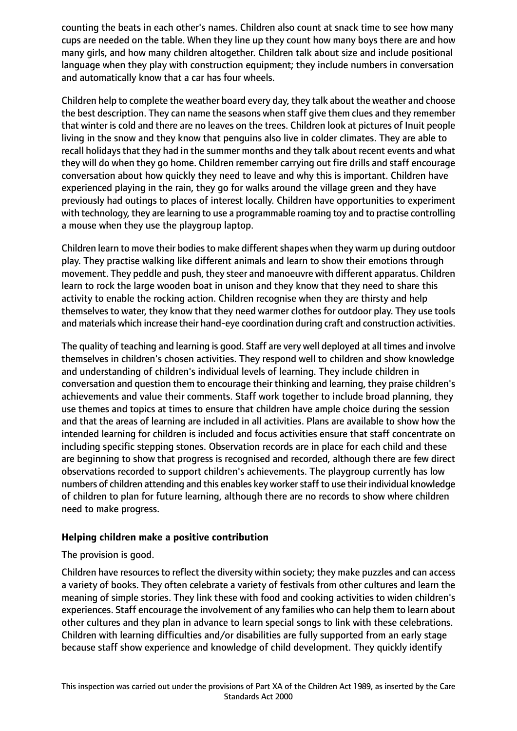counting the beats in each other's names. Children also count at snack time to see how many cups are needed on the table. When they line up they count how many boys there are and how many girls, and how many children altogether. Children talk about size and include positional language when they play with construction equipment; they include numbers in conversation and automatically know that a car has four wheels.

Children help to complete the weather board every day, they talk about the weather and choose the best description. They can name the seasons when staff give them clues and they remember that winter is cold and there are no leaves on the trees. Children look at pictures of Inuit people living in the snow and they know that penguins also live in colder climates. They are able to recall holidays that they had in the summer months and they talk about recent events and what they will do when they go home. Children remember carrying out fire drills and staff encourage conversation about how quickly they need to leave and why this is important. Children have experienced playing in the rain, they go for walks around the village green and they have previously had outings to places of interest locally. Children have opportunities to experiment with technology, they are learning to use a programmable roaming toy and to practise controlling a mouse when they use the playgroup laptop.

Children learn to move their bodies to make different shapes when they warm up during outdoor play. They practise walking like different animals and learn to show their emotions through movement. They peddle and push, they steer and manoeuvre with different apparatus. Children learn to rock the large wooden boat in unison and they know that they need to share this activity to enable the rocking action. Children recognise when they are thirsty and help themselves to water, they know that they need warmer clothes for outdoor play. They use tools and materials which increase their hand-eye coordination during craft and construction activities.

The quality of teaching and learning is good. Staff are very well deployed at all times and involve themselves in children's chosen activities. They respond well to children and show knowledge and understanding of children's individual levels of learning. They include children in conversation and question them to encourage their thinking and learning, they praise children's achievements and value their comments. Staff work together to include broad planning, they use themes and topics at times to ensure that children have ample choice during the session and that the areas of learning are included in all activities. Plans are available to show how the intended learning for children is included and focus activities ensure that staff concentrate on including specific stepping stones. Observation records are in place for each child and these are beginning to show that progress is recognised and recorded, although there are few direct observations recorded to support children's achievements. The playgroup currently has low numbers of children attending and this enables key workerstaff to use their individual knowledge of children to plan for future learning, although there are no records to show where children need to make progress.

## **Helping children make a positive contribution**

The provision is good.

Children have resources to reflect the diversity within society; they make puzzles and can access a variety of books. They often celebrate a variety of festivals from other cultures and learn the meaning of simple stories. They link these with food and cooking activities to widen children's experiences. Staff encourage the involvement of any families who can help them to learn about other cultures and they plan in advance to learn special songs to link with these celebrations. Children with learning difficulties and/or disabilities are fully supported from an early stage because staff show experience and knowledge of child development. They quickly identify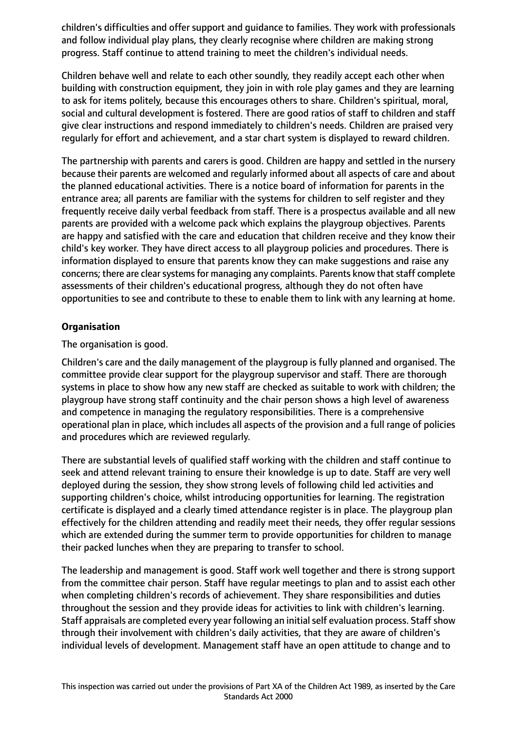children's difficulties and offer support and guidance to families. They work with professionals and follow individual play plans, they clearly recognise where children are making strong progress. Staff continue to attend training to meet the children's individual needs.

Children behave well and relate to each other soundly, they readily accept each other when building with construction equipment, they join in with role play games and they are learning to ask for items politely, because this encourages others to share. Children's spiritual, moral, social and cultural development is fostered. There are good ratios of staff to children and staff give clear instructions and respond immediately to children's needs. Children are praised very regularly for effort and achievement, and a star chart system is displayed to reward children.

The partnership with parents and carers is good. Children are happy and settled in the nursery because their parents are welcomed and regularly informed about all aspects of care and about the planned educational activities. There is a notice board of information for parents in the entrance area; all parents are familiar with the systems for children to self register and they frequently receive daily verbal feedback from staff. There is a prospectus available and all new parents are provided with a welcome pack which explains the playgroup objectives. Parents are happy and satisfied with the care and education that children receive and they know their child's key worker. They have direct access to all playgroup policies and procedures. There is information displayed to ensure that parents know they can make suggestions and raise any concerns; there are clear systems for managing any complaints. Parents know that staff complete assessments of their children's educational progress, although they do not often have opportunities to see and contribute to these to enable them to link with any learning at home.

# **Organisation**

The organisation is good.

Children's care and the daily management of the playgroup is fully planned and organised. The committee provide clear support for the playgroup supervisor and staff. There are thorough systems in place to show how any new staff are checked as suitable to work with children; the playgroup have strong staff continuity and the chair person shows a high level of awareness and competence in managing the regulatory responsibilities. There is a comprehensive operational plan in place, which includes all aspects of the provision and a full range of policies and procedures which are reviewed regularly.

There are substantial levels of qualified staff working with the children and staff continue to seek and attend relevant training to ensure their knowledge is up to date. Staff are very well deployed during the session, they show strong levels of following child led activities and supporting children's choice, whilst introducing opportunities for learning. The registration certificate is displayed and a clearly timed attendance register is in place. The playgroup plan effectively for the children attending and readily meet their needs, they offer regular sessions which are extended during the summer term to provide opportunities for children to manage their packed lunches when they are preparing to transfer to school.

The leadership and management is good. Staff work well together and there is strong support from the committee chair person. Staff have regular meetings to plan and to assist each other when completing children's records of achievement. They share responsibilities and duties throughout the session and they provide ideas for activities to link with children's learning. Staff appraisals are completed every year following an initial self evaluation process. Staff show through their involvement with children's daily activities, that they are aware of children's individual levels of development. Management staff have an open attitude to change and to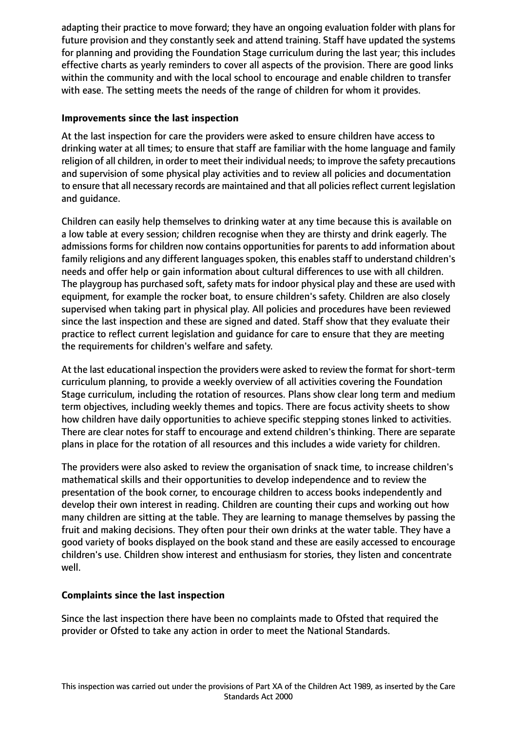adapting their practice to move forward; they have an ongoing evaluation folder with plans for future provision and they constantly seek and attend training. Staff have updated the systems for planning and providing the Foundation Stage curriculum during the last year; this includes effective charts as yearly reminders to cover all aspects of the provision. There are good links within the community and with the local school to encourage and enable children to transfer with ease. The setting meets the needs of the range of children for whom it provides.

# **Improvements since the last inspection**

At the last inspection for care the providers were asked to ensure children have access to drinking water at all times; to ensure that staff are familiar with the home language and family religion of all children, in order to meet their individual needs; to improve the safety precautions and supervision of some physical play activities and to review all policies and documentation to ensure that all necessary records are maintained and that all policies reflect current legislation and guidance.

Children can easily help themselves to drinking water at any time because this is available on a low table at every session; children recognise when they are thirsty and drink eagerly. The admissions forms for children now contains opportunities for parents to add information about family religions and any different languages spoken, this enables staff to understand children's needs and offer help or gain information about cultural differences to use with all children. The playgroup has purchased soft, safety mats for indoor physical play and these are used with equipment, for example the rocker boat, to ensure children's safety. Children are also closely supervised when taking part in physical play. All policies and procedures have been reviewed since the last inspection and these are signed and dated. Staff show that they evaluate their practice to reflect current legislation and guidance for care to ensure that they are meeting the requirements for children's welfare and safety.

At the last educational inspection the providers were asked to review the format for short-term curriculum planning, to provide a weekly overview of all activities covering the Foundation Stage curriculum, including the rotation of resources. Plans show clear long term and medium term objectives, including weekly themes and topics. There are focus activity sheets to show how children have daily opportunities to achieve specific stepping stones linked to activities. There are clear notes for staff to encourage and extend children's thinking. There are separate plans in place for the rotation of all resources and this includes a wide variety for children.

The providers were also asked to review the organisation of snack time, to increase children's mathematical skills and their opportunities to develop independence and to review the presentation of the book corner, to encourage children to access books independently and develop their own interest in reading. Children are counting their cups and working out how many children are sitting at the table. They are learning to manage themselves by passing the fruit and making decisions. They often pour their own drinks at the water table. They have a good variety of books displayed on the book stand and these are easily accessed to encourage children's use. Children show interest and enthusiasm for stories, they listen and concentrate well.

## **Complaints since the last inspection**

Since the last inspection there have been no complaints made to Ofsted that required the provider or Ofsted to take any action in order to meet the National Standards.